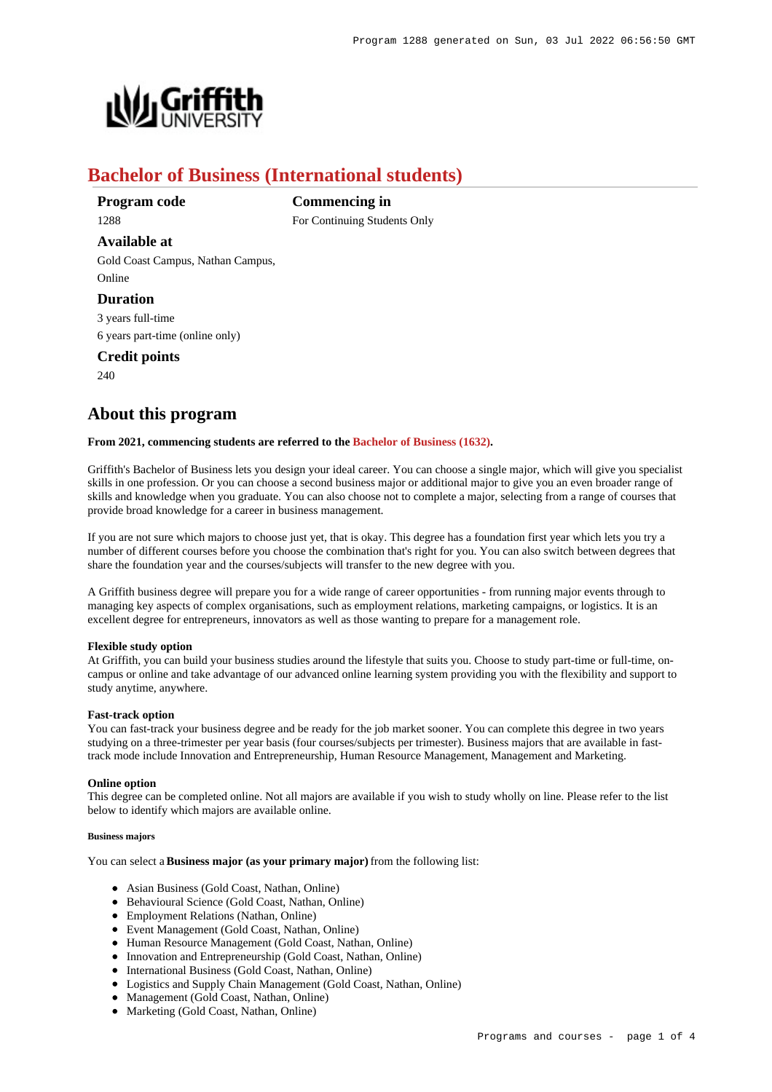

# **Bachelor of Business (International students)**

**Program code** 1288

**Available at**

**Commencing in** For Continuing Students Only

Gold Coast Campus, Nathan Campus, Online

# **Duration**

3 years full-time 6 years part-time (online only)

**Credit points**

240

# **About this program**

# **From 2021, commencing students are referred to the [Bachelor of Business \(1632\)](https://www148.griffith.edu.au/Search/Results?SearchText=1632).**

Griffith's Bachelor of Business lets you design your ideal career. You can choose a single major, which will give you specialist skills in one profession. Or you can choose a second business major or additional major to give you an even broader range of skills and knowledge when you graduate. You can also choose not to complete a major, selecting from a range of courses that provide broad knowledge for a career in business management.

If you are not sure which majors to choose just yet, that is okay. This degree has a foundation first year which lets you try a number of different courses before you choose the combination that's right for you. You can also switch between degrees that share the foundation year and the courses/subjects will transfer to the new degree with you.

A Griffith business degree will prepare you for a wide range of career opportunities - from running major events through to managing key aspects of complex organisations, such as employment relations, marketing campaigns, or logistics. It is an excellent degree for entrepreneurs, innovators as well as those wanting to prepare for a management role.

## **Flexible study option**

At Griffith, you can build your business studies around the lifestyle that suits you. Choose to study part-time or full-time, oncampus or online and take advantage of our advanced online learning system providing you with the flexibility and support to study anytime, anywhere.

# **Fast-track option**

You can fast-track your business degree and be ready for the job market sooner. You can complete this degree in two years studying on a three-trimester per year basis (four courses/subjects per trimester). Business majors that are available in fasttrack mode include Innovation and Entrepreneurship, Human Resource Management, Management and Marketing.

## **Online option**

This degree can be completed online. Not all majors are available if you wish to study wholly on line. Please refer to the list below to identify which majors are available online.

## **Business majors**

You can select a **Business major (as your primary major)** from the following list:

- Asian Business (Gold Coast, Nathan, Online)
- Behavioural Science (Gold Coast, Nathan, Online)
- Employment Relations (Nathan, Online)
- Event Management (Gold Coast, Nathan, Online)
- Human Resource Management (Gold Coast, Nathan, Online)
- Innovation and Entrepreneurship (Gold Coast, Nathan, Online)
- $\bullet$  International Business (Gold Coast, Nathan, Online)
- Logistics and Supply Chain Management (Gold Coast, Nathan, Online)
- Management (Gold Coast, Nathan, Online)
- Marketing (Gold Coast, Nathan, Online)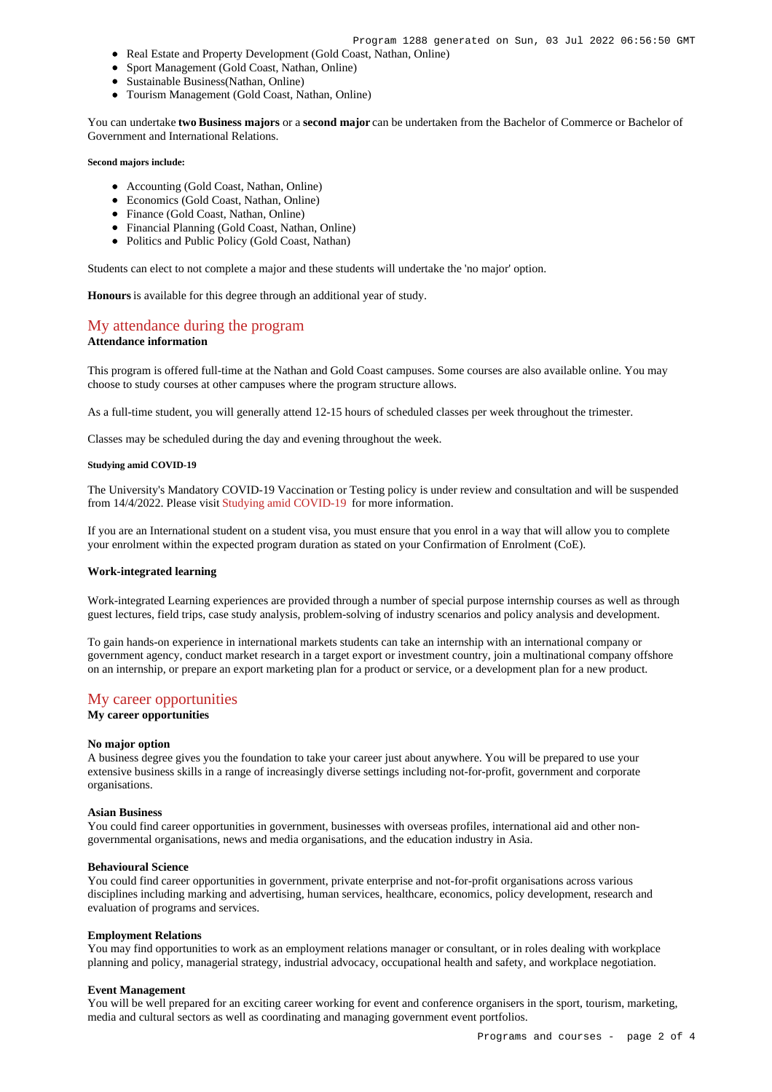- Real Estate and Property Development (Gold Coast, Nathan, Online)
- Sport Management (Gold Coast, Nathan, Online)
- Sustainable Business(Nathan, Online)
- Tourism Management (Gold Coast, Nathan, Online)

You can undertake **two Business majors** or a **second major** can be undertaken from the Bachelor of Commerce or Bachelor of Government and International Relations.

#### **Second majors include:**

- Accounting (Gold Coast, Nathan, Online)
- Economics (Gold Coast, Nathan, Online)
- Finance (Gold Coast, Nathan, Online)
- Financial Planning (Gold Coast, Nathan, Online)
- Politics and Public Policy (Gold Coast, Nathan)

Students can elect to not complete a major and these students will undertake the 'no major' option.

**Honours** is available for this degree through an additional year of study.

# [My attendance during the program](https://www148.griffith.edu.au/programs-courses/Program/1288/Overview/International#attendance)

# **Attendance information**

This program is offered full-time at the Nathan and Gold Coast campuses. Some courses are also available online. You may choose to study courses at other campuses where the program structure allows.

As a full-time student, you will generally attend 12-15 hours of scheduled classes per week throughout the trimester.

Classes may be scheduled during the day and evening throughout the week.

#### **Studying amid COVID-19**

The University's Mandatory COVID-19 Vaccination or Testing policy is under review and consultation and will be suspended from 14/4/2022. Please visit [Studying amid COVID-19](https://www.griffith.edu.au/coronavirus/studying-amid-covid-19) for more information.

If you are an International student on a student visa, you must ensure that you enrol in a way that will allow you to complete your enrolment within the expected program duration as stated on your Confirmation of Enrolment (CoE).

#### **Work-integrated learning**

Work-integrated Learning experiences are provided through a number of special purpose internship courses as well as through guest lectures, field trips, case study analysis, problem-solving of industry scenarios and policy analysis and development.

To gain hands-on experience in international markets students can take an internship with an international company or government agency, conduct market research in a target export or investment country, join a multinational company offshore on an internship, or prepare an export marketing plan for a product or service, or a development plan for a new product.

# [My career opportunities](https://www148.griffith.edu.au/programs-courses/Program/1288/Overview/International#opportunities)

**My career opportunities**

#### **No major option**

A business degree gives you the foundation to take your career just about anywhere. You will be prepared to use your extensive business skills in a range of increasingly diverse settings including not-for-profit, government and corporate organisations.

#### **Asian Business**

You could find career opportunities in government, businesses with overseas profiles, international aid and other nongovernmental organisations, news and media organisations, and the education industry in Asia.

#### **Behavioural Science**

You could find career opportunities in government, private enterprise and not-for-profit organisations across various disciplines including marking and advertising, human services, healthcare, economics, policy development, research and evaluation of programs and services.

#### **Employment Relations**

You may find opportunities to work as an employment relations manager or consultant, or in roles dealing with workplace planning and policy, managerial strategy, industrial advocacy, occupational health and safety, and workplace negotiation.

#### **Event Management**

You will be well prepared for an exciting career working for event and conference organisers in the sport, tourism, marketing, media and cultural sectors as well as coordinating and managing government event portfolios.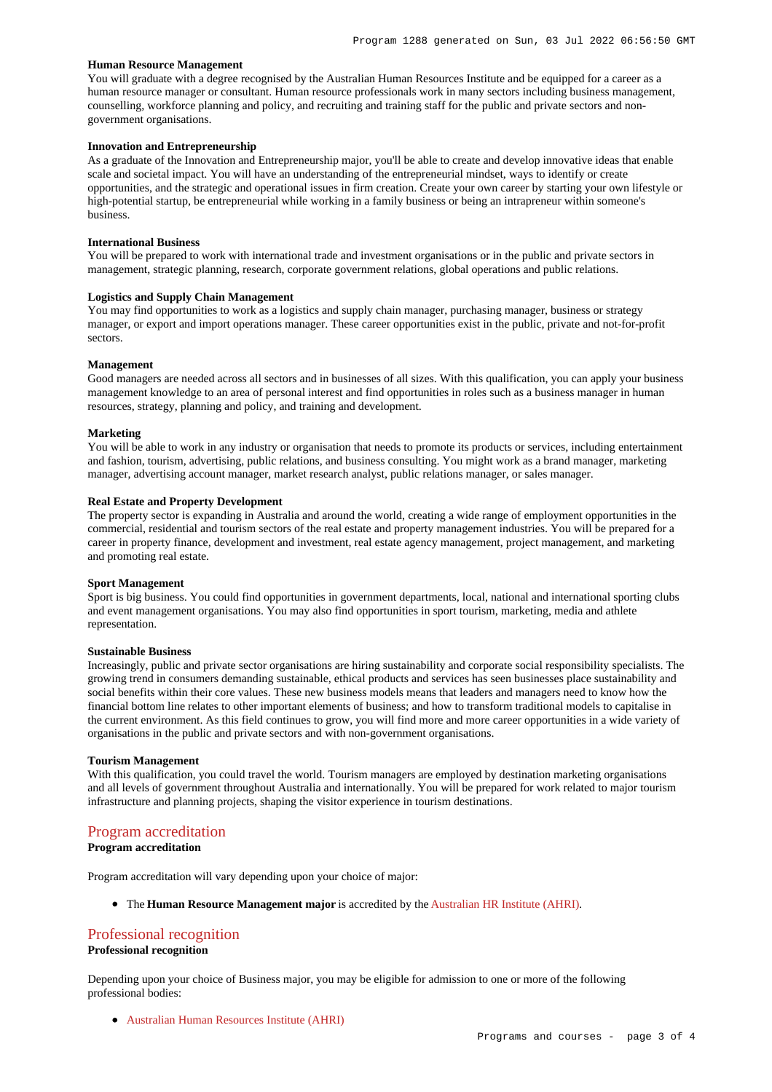## **Human Resource Management**

You will graduate with a degree recognised by the Australian Human Resources Institute and be equipped for a career as a human resource manager or consultant. Human resource professionals work in many sectors including business management, counselling, workforce planning and policy, and recruiting and training staff for the public and private sectors and nongovernment organisations.

# **Innovation and Entrepreneurship**

As a graduate of the Innovation and Entrepreneurship major, you'll be able to create and develop innovative ideas that enable scale and societal impact. You will have an understanding of the entrepreneurial mindset, ways to identify or create opportunities, and the strategic and operational issues in firm creation. Create your own career by starting your own lifestyle or high-potential startup, be entrepreneurial while working in a family business or being an intrapreneur within someone's business.

#### **International Business**

You will be prepared to work with international trade and investment organisations or in the public and private sectors in management, strategic planning, research, corporate government relations, global operations and public relations.

# **Logistics and Supply Chain Management**

You may find opportunities to work as a logistics and supply chain manager, purchasing manager, business or strategy manager, or export and import operations manager. These career opportunities exist in the public, private and not-for-profit sectors.

# **Management**

Good managers are needed across all sectors and in businesses of all sizes. With this qualification, you can apply your business management knowledge to an area of personal interest and find opportunities in roles such as a business manager in human resources, strategy, planning and policy, and training and development.

#### **Marketing**

You will be able to work in any industry or organisation that needs to promote its products or services, including entertainment and fashion, tourism, advertising, public relations, and business consulting. You might work as a brand manager, marketing manager, advertising account manager, market research analyst, public relations manager, or sales manager.

# **Real Estate and Property Development**

The property sector is expanding in Australia and around the world, creating a wide range of employment opportunities in the commercial, residential and tourism sectors of the real estate and property management industries. You will be prepared for a career in property finance, development and investment, real estate agency management, project management, and marketing and promoting real estate.

#### **Sport Management**

Sport is big business. You could find opportunities in government departments, local, national and international sporting clubs and event management organisations. You may also find opportunities in sport tourism, marketing, media and athlete representation.

### **Sustainable Business**

Increasingly, public and private sector organisations are hiring sustainability and corporate social responsibility specialists. The growing trend in consumers demanding sustainable, ethical products and services has seen businesses place sustainability and social benefits within their core values. These new business models means that leaders and managers need to know how the financial bottom line relates to other important elements of business; and how to transform traditional models to capitalise in the current environment. As this field continues to grow, you will find more and more career opportunities in a wide variety of organisations in the public and private sectors and with non-government organisations.

#### **Tourism Management**

With this qualification, you could travel the world. Tourism managers are employed by destination marketing organisations and all levels of government throughout Australia and internationally. You will be prepared for work related to major tourism infrastructure and planning projects, shaping the visitor experience in tourism destinations.

# [Program accreditation](https://www148.griffith.edu.au/programs-courses/Program/1288/Overview/International#accreditation)

# **Program accreditation**

Program accreditation will vary depending upon your choice of major:

The **Human Resource Management major** is accredited by the [Australian HR Institute \(AHRI\)](https://www.ahri.com.au/).

# [Professional recognition](https://www148.griffith.edu.au/programs-courses/Program/1288/Overview/International#recognition)

# **Professional recognition**

Depending upon your choice of Business major, you may be eligible for admission to one or more of the following professional bodies:

[Australian Human Resources Institute \(AHRI\)](https://www.ahri.com.au/)